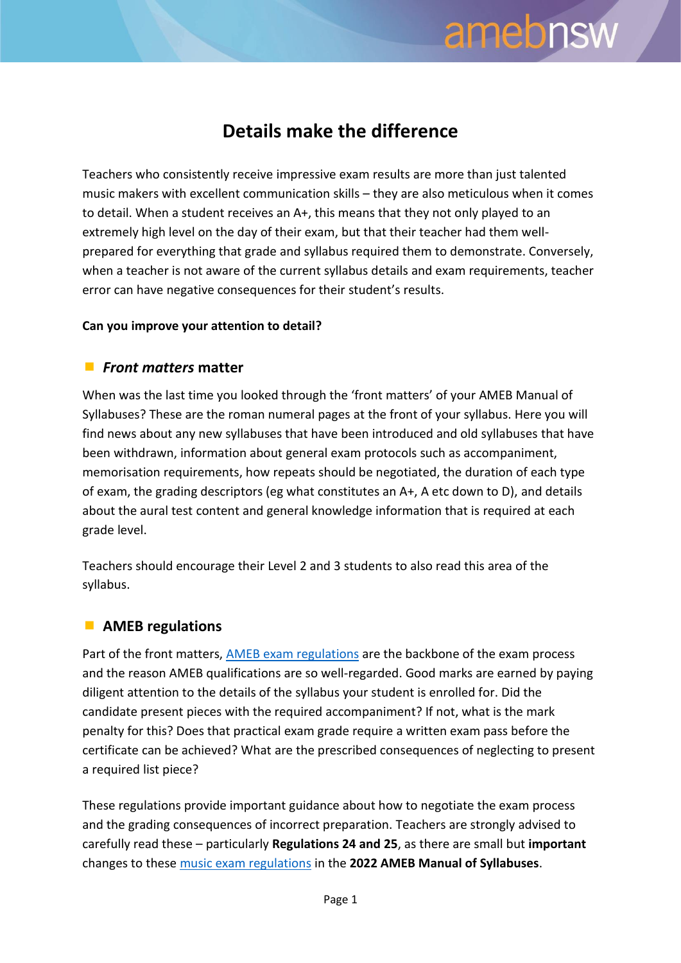# amebnsw

### **Details make the difference**

Teachers who consistently receive impressive exam results are more than just talented music makers with excellent communication skills – they are also meticulous when it comes to detail. When a student receives an A+, this means that they not only played to an extremely high level on the day of their exam, but that their teacher had them wellprepared for everything that grade and syllabus required them to demonstrate. Conversely, when a teacher is not aware of the current syllabus details and exam requirements, teacher error can have negative consequences for their student's results.

#### **Can you improve your attention to detail?**

#### *Front matters* **matter**

When was the last time you looked through the 'front matters' of your AMEB Manual of Syllabuses? These are the roman numeral pages at the front of your syllabus. Here you will find news about any new syllabuses that have been introduced and old syllabuses that have been withdrawn, information about general exam protocols such as accompaniment, memorisation requirements, how repeats should be negotiated, the duration of each type of exam, the grading descriptors (eg what constitutes an A+, A etc down to D), and details about the aural test content and general knowledge information that is required at each grade level.

Teachers should encourage their Level 2 and 3 students to also read this area of the syllabus.

#### **AMEB regulations**

Part of the front matters, [AMEB exam regulations](https://www.ameb.edu.au/regulations) are the backbone of the exam process and the reason AMEB qualifications are so well-regarded. Good marks are earned by paying diligent attention to the details of the syllabus your student is enrolled for. Did the candidate present pieces with the required accompaniment? If not, what is the mark penalty for this? Does that practical exam grade require a written exam pass before the certificate can be achieved? What are the prescribed consequences of neglecting to present a required list piece?

These regulations provide important guidance about how to negotiate the exam process and the grading consequences of incorrect preparation. Teachers are strongly advised to carefully read these – particularly **Regulations 24 and 25**, as there are small but **important** changes to these [music exam regulations](https://www.ameb.edu.au/media/AMEB_Music_Regulations_2022_3.pdf) in the **2022 AMEB Manual of Syllabuses**.